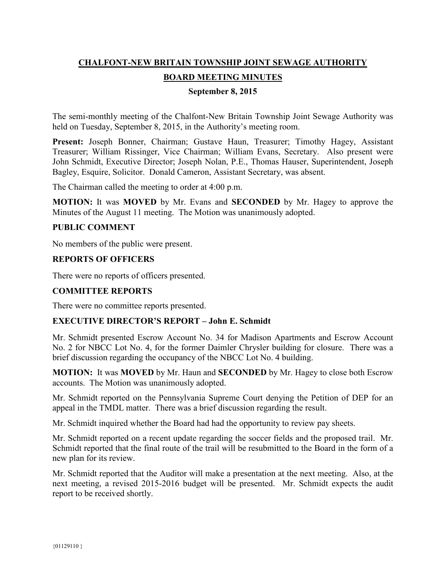# **CHALFONT-NEW BRITAIN TOWNSHIP JOINT SEWAGE AUTHORITY BOARD MEETING MINUTES**

#### **September 8, 2015**

The semi-monthly meeting of the Chalfont-New Britain Township Joint Sewage Authority was held on Tuesday, September 8, 2015, in the Authority's meeting room.

**Present:** Joseph Bonner, Chairman; Gustave Haun, Treasurer; Timothy Hagey, Assistant Treasurer; William Rissinger, Vice Chairman; William Evans, Secretary. Also present were John Schmidt, Executive Director; Joseph Nolan, P.E., Thomas Hauser, Superintendent, Joseph Bagley, Esquire, Solicitor. Donald Cameron, Assistant Secretary, was absent.

The Chairman called the meeting to order at 4:00 p.m.

**MOTION:** It was **MOVED** by Mr. Evans and **SECONDED** by Mr. Hagey to approve the Minutes of the August 11 meeting. The Motion was unanimously adopted.

#### **PUBLIC COMMENT**

No members of the public were present.

#### **REPORTS OF OFFICERS**

There were no reports of officers presented.

#### **COMMITTEE REPORTS**

There were no committee reports presented.

### **EXECUTIVE DIRECTOR'S REPORT – John E. Schmidt**

Mr. Schmidt presented Escrow Account No. 34 for Madison Apartments and Escrow Account No. 2 for NBCC Lot No. 4, for the former Daimler Chrysler building for closure. There was a brief discussion regarding the occupancy of the NBCC Lot No. 4 building.

**MOTION:** It was **MOVED** by Mr. Haun and **SECONDED** by Mr. Hagey to close both Escrow accounts. The Motion was unanimously adopted.

Mr. Schmidt reported on the Pennsylvania Supreme Court denying the Petition of DEP for an appeal in the TMDL matter. There was a brief discussion regarding the result.

Mr. Schmidt inquired whether the Board had had the opportunity to review pay sheets.

Mr. Schmidt reported on a recent update regarding the soccer fields and the proposed trail. Mr. Schmidt reported that the final route of the trail will be resubmitted to the Board in the form of a new plan for its review.

Mr. Schmidt reported that the Auditor will make a presentation at the next meeting. Also, at the next meeting, a revised 2015-2016 budget will be presented. Mr. Schmidt expects the audit report to be received shortly.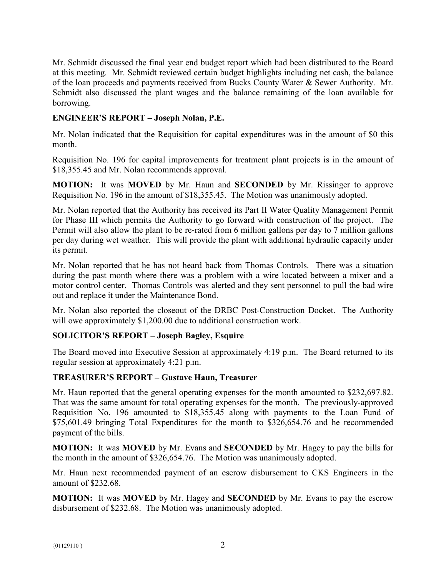Mr. Schmidt discussed the final year end budget report which had been distributed to the Board at this meeting. Mr. Schmidt reviewed certain budget highlights including net cash, the balance of the loan proceeds and payments received from Bucks County Water & Sewer Authority. Mr. Schmidt also discussed the plant wages and the balance remaining of the loan available for borrowing.

## **ENGINEER'S REPORT – Joseph Nolan, P.E.**

Mr. Nolan indicated that the Requisition for capital expenditures was in the amount of \$0 this month.

Requisition No. 196 for capital improvements for treatment plant projects is in the amount of \$18,355.45 and Mr. Nolan recommends approval.

**MOTION:** It was **MOVED** by Mr. Haun and **SECONDED** by Mr. Rissinger to approve Requisition No. 196 in the amount of \$18,355.45. The Motion was unanimously adopted.

Mr. Nolan reported that the Authority has received its Part II Water Quality Management Permit for Phase III which permits the Authority to go forward with construction of the project. The Permit will also allow the plant to be re-rated from 6 million gallons per day to 7 million gallons per day during wet weather. This will provide the plant with additional hydraulic capacity under its permit.

Mr. Nolan reported that he has not heard back from Thomas Controls. There was a situation during the past month where there was a problem with a wire located between a mixer and a motor control center. Thomas Controls was alerted and they sent personnel to pull the bad wire out and replace it under the Maintenance Bond.

Mr. Nolan also reported the closeout of the DRBC Post-Construction Docket. The Authority will owe approximately \$1,200.00 due to additional construction work.

## **SOLICITOR'S REPORT – Joseph Bagley, Esquire**

The Board moved into Executive Session at approximately 4:19 p.m. The Board returned to its regular session at approximately 4:21 p.m.

### **TREASURER'S REPORT – Gustave Haun, Treasurer**

Mr. Haun reported that the general operating expenses for the month amounted to \$232,697.82. That was the same amount for total operating expenses for the month. The previously-approved Requisition No. 196 amounted to \$18,355.45 along with payments to the Loan Fund of \$75,601.49 bringing Total Expenditures for the month to \$326,654.76 and he recommended payment of the bills.

**MOTION:** It was **MOVED** by Mr. Evans and **SECONDED** by Mr. Hagey to pay the bills for the month in the amount of \$326,654.76. The Motion was unanimously adopted.

Mr. Haun next recommended payment of an escrow disbursement to CKS Engineers in the amount of \$232.68.

**MOTION:** It was **MOVED** by Mr. Hagey and **SECONDED** by Mr. Evans to pay the escrow disbursement of \$232.68. The Motion was unanimously adopted.